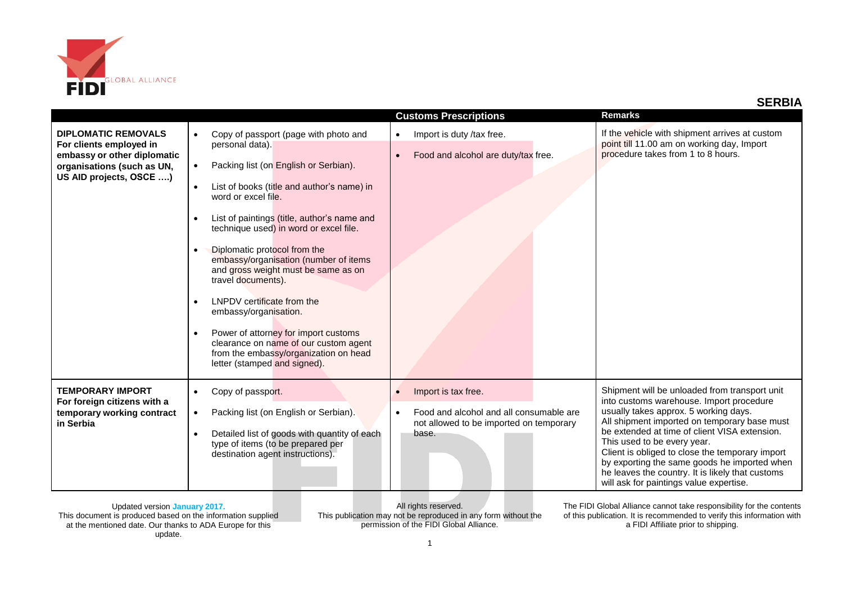

| <b>DIPLOMATIC REMOVALS</b><br>For clients employed in<br>embassy or other diplomatic<br>organisations (such as UN,<br>US AID projects, OSCE ) | Copy of passport (page with photo and<br>$\bullet$<br>personal data).<br>Packing list (on English or Serbian).<br>$\bullet$<br>List of books (title and author's name) in<br>$\bullet$<br>word or excel file.<br>List of paintings (title, author's name and<br>technique used) in word or excel file.<br>Diplomatic protocol from the<br>embassy/organisation (number of items<br>and gross weight must be same as on<br>travel documents).<br>LNPDV certificate from the<br>embassy/organisation.<br>Power of attorney for import customs<br>clearance on name of our custom agent<br>from the embassy/organization on head<br>letter (stamped and signed). | <b>Customs Prescriptions</b><br>Import is duty /tax free.<br>$\bullet$<br>Food and alcohol are duty/tax free.<br>$\bullet$                   | <b>Remarks</b><br>If the vehicle with shipment arrives at custom<br>point till 11.00 am on working day, Import<br>procedure takes from 1 to 8 hours.                                                                                                                                                                                                                                                                                                                 |
|-----------------------------------------------------------------------------------------------------------------------------------------------|---------------------------------------------------------------------------------------------------------------------------------------------------------------------------------------------------------------------------------------------------------------------------------------------------------------------------------------------------------------------------------------------------------------------------------------------------------------------------------------------------------------------------------------------------------------------------------------------------------------------------------------------------------------|----------------------------------------------------------------------------------------------------------------------------------------------|----------------------------------------------------------------------------------------------------------------------------------------------------------------------------------------------------------------------------------------------------------------------------------------------------------------------------------------------------------------------------------------------------------------------------------------------------------------------|
| <b>TEMPORARY IMPORT</b><br>For foreign citizens with a<br>temporary working contract<br>in Serbia                                             | Copy of passport.<br>$\bullet$<br>Packing list (on English or Serbian).<br>$\bullet$<br>Detailed list of goods with quantity of each<br>$\bullet$<br>type of items (to be prepared per<br>destination agent instructions).                                                                                                                                                                                                                                                                                                                                                                                                                                    | Import is tax free.<br>$\bullet$<br>Food and alcohol and all consumable are<br>$\bullet$<br>not allowed to be imported on temporary<br>base. | Shipment will be unloaded from transport unit<br>into customs warehouse. Import procedure<br>usually takes approx. 5 working days.<br>All shipment imported on temporary base must<br>be extended at time of client VISA extension.<br>This used to be every year.<br>Client is obliged to close the temporary import<br>by exporting the same goods he imported when<br>he leaves the country. It is likely that customs<br>will ask for paintings value expertise. |

All rights reserved. This publication may not be reproduced in any form without the permission of the FIDI Global Alliance.

The FIDI Global Alliance cannot take responsibility for the contents of this publication. It is recommended to verify this information with a FIDI Affiliate prior to shipping.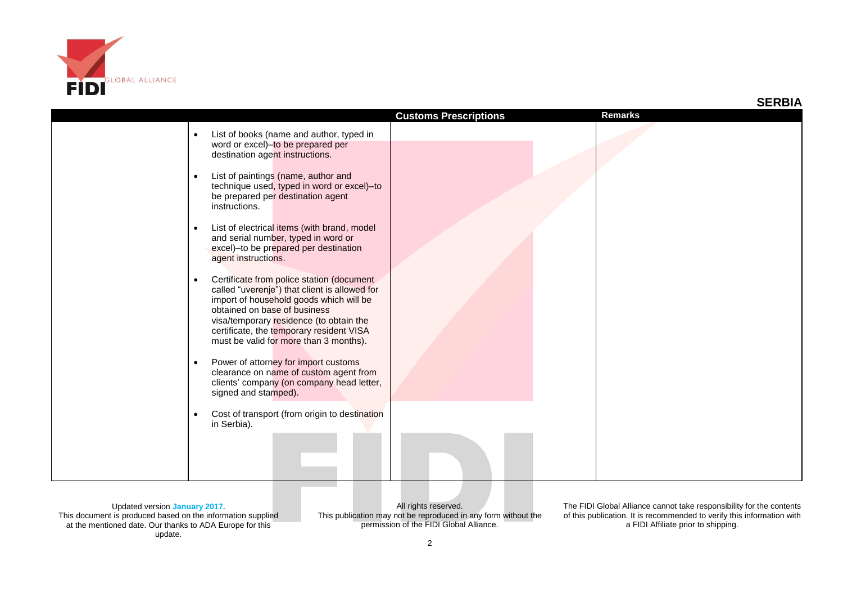

|                                                                                                                                                                                                                                                                                                                                                                                                                                                                                                                                                                                                                                                                                                                                                                                                                                                                                                                           | <b>Customs Prescriptions</b> | <b>Remarks</b> |
|---------------------------------------------------------------------------------------------------------------------------------------------------------------------------------------------------------------------------------------------------------------------------------------------------------------------------------------------------------------------------------------------------------------------------------------------------------------------------------------------------------------------------------------------------------------------------------------------------------------------------------------------------------------------------------------------------------------------------------------------------------------------------------------------------------------------------------------------------------------------------------------------------------------------------|------------------------------|----------------|
| List of books (name and author, typed in<br>word or excel)-to be prepared per<br>destination agent instructions.<br>List of paintings (name, author and<br>$\bullet$<br>technique used, typed in word or excel)-to<br>be prepared per destination agent<br>instructions.<br>List of electrical items (with brand, model<br>$\bullet$<br>and serial number, typed in word or<br>excel)-to be prepared per destination<br>agent instructions.<br>Certificate from police station (document<br>called "uverenje") that client is allowed for<br>import of household goods which will be<br>obtained on base of business<br>visa/temporary residence (to obtain the<br>certificate, the temporary resident VISA<br>must be valid for more than 3 months).<br>Power of attorney for import customs<br>$\bullet$<br>clearance on name of custom agent from<br>clients' company (on company head letter,<br>signed and stamped). |                              |                |
| Cost of transport (from origin to destination<br>$\bullet$<br>in Serbia).                                                                                                                                                                                                                                                                                                                                                                                                                                                                                                                                                                                                                                                                                                                                                                                                                                                 |                              |                |

All rights reserved. This publication may not be reproduced in any form without the permission of the FIDI Global Alliance.

The FIDI Global Alliance cannot take responsibility for the contents of this publication. It is recommended to verify this information with a FIDI Affiliate prior to shipping.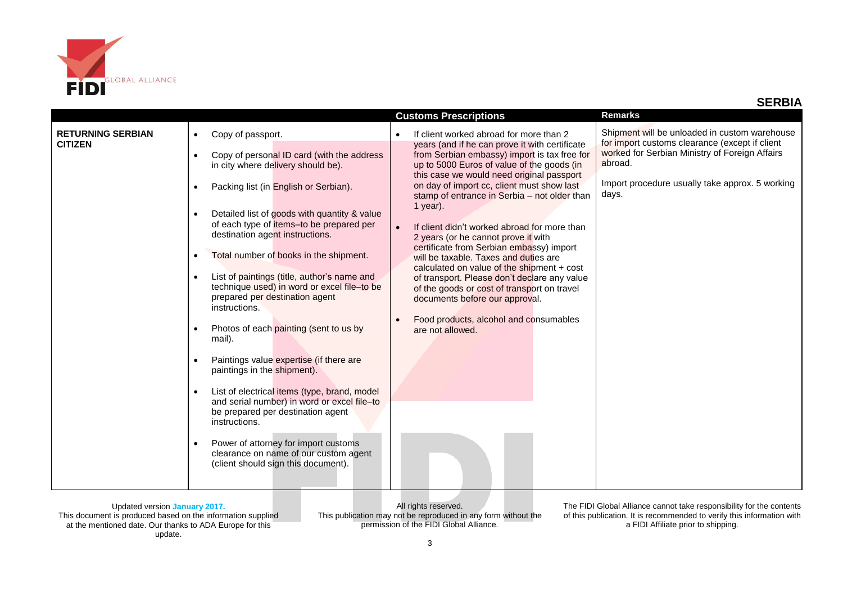

|                                            |                                                                                                                                                                                                                                                                                                                                                                                                                                                                                                                                                                                                                                                                                                                                                                                                                                                                                                               | <b>Customs Prescriptions</b>                                                                                                                                                                                                                                                                                                                                                                                                                                                                                                                                                                                                                                                                                                                                              | <b>Remarks</b>                                                                                                                                                                                                           |
|--------------------------------------------|---------------------------------------------------------------------------------------------------------------------------------------------------------------------------------------------------------------------------------------------------------------------------------------------------------------------------------------------------------------------------------------------------------------------------------------------------------------------------------------------------------------------------------------------------------------------------------------------------------------------------------------------------------------------------------------------------------------------------------------------------------------------------------------------------------------------------------------------------------------------------------------------------------------|---------------------------------------------------------------------------------------------------------------------------------------------------------------------------------------------------------------------------------------------------------------------------------------------------------------------------------------------------------------------------------------------------------------------------------------------------------------------------------------------------------------------------------------------------------------------------------------------------------------------------------------------------------------------------------------------------------------------------------------------------------------------------|--------------------------------------------------------------------------------------------------------------------------------------------------------------------------------------------------------------------------|
| <b>RETURNING SERBIAN</b><br><b>CITIZEN</b> | Copy of passport.<br>Copy of personal ID card (with the address<br>$\bullet$<br>in city where delivery should be).<br>Packing list (in English or Serbian).<br>Detailed list of goods with quantity & value<br>of each type of items-to be prepared per<br>destination agent instructions.<br>Total number of books in the shipment.<br>List of paintings (title, author's name and<br>technique used) in word or excel file-to be<br>prepared per destination agent<br>instructions.<br>Photos of each painting (sent to us by<br>mail).<br>Paintings value expertise (if there are<br>paintings in the shipment).<br>List of electrical items (type, brand, model<br>and serial number) in word or excel file-to<br>be prepared per destination agent<br>instructions.<br>Power of attorney for import customs<br>$\bullet$<br>clearance on name of our custom agent<br>(client should sign this document). | If client worked abroad for more than 2<br>years (and if he can prove it with certificate<br>from Serbian embassy) import is tax free for<br>up to 5000 Euros of value of the goods (in<br>this case we would need original passport<br>on day of import cc, client must show last<br>stamp of entrance in Serbia - not older than<br>1 year).<br>If client didn't worked abroad for more than<br>2 years (or he cannot prove it with<br>certificate from Serbian embassy) import<br>will be taxable. Taxes and duties are<br>calculated on value of the shipment $+$ cost<br>of transport. Please don't declare any value<br>of the goods or cost of transport on travel<br>documents before our approval.<br>Food products, alcohol and consumables<br>are not allowed. | Shipment will be unloaded in custom warehouse<br>for import customs clearance (except if client<br>worked for Serbian Ministry of Foreign Affairs<br>abroad.<br>Import procedure usually take approx. 5 working<br>days. |

All rights reserved. This publication may not be reproduced in any form without the permission of the FIDI Global Alliance.

The FIDI Global Alliance cannot take responsibility for the contents of this publication. It is recommended to verify this information with a FIDI Affiliate prior to shipping.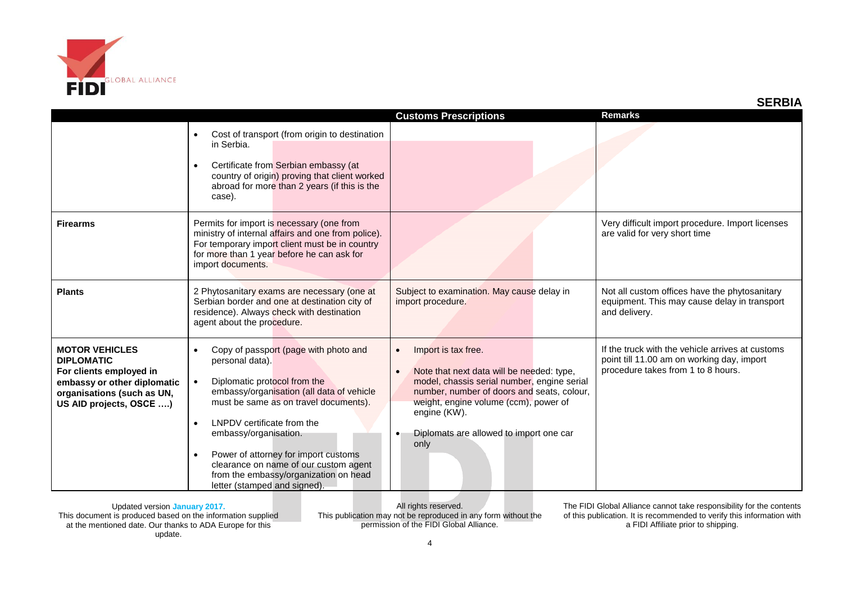

|                                                                                                                                                               |                                                                                                                                                                                                                                                                                                                                                                                                                                                     |                                                                                                                                                                                                                                                                                                                  | <b>SERBIA</b>                                                                                                                        |
|---------------------------------------------------------------------------------------------------------------------------------------------------------------|-----------------------------------------------------------------------------------------------------------------------------------------------------------------------------------------------------------------------------------------------------------------------------------------------------------------------------------------------------------------------------------------------------------------------------------------------------|------------------------------------------------------------------------------------------------------------------------------------------------------------------------------------------------------------------------------------------------------------------------------------------------------------------|--------------------------------------------------------------------------------------------------------------------------------------|
|                                                                                                                                                               |                                                                                                                                                                                                                                                                                                                                                                                                                                                     | <b>Customs Prescriptions</b>                                                                                                                                                                                                                                                                                     | <b>Remarks</b>                                                                                                                       |
|                                                                                                                                                               | Cost of transport (from origin to destination<br>in Serbia.<br>Certificate from Serbian embassy (at<br>country of origin) proving that client worked<br>abroad for more than 2 years (if this is the<br>case).                                                                                                                                                                                                                                      |                                                                                                                                                                                                                                                                                                                  |                                                                                                                                      |
| <b>Firearms</b>                                                                                                                                               | Permits for import is necessary (one from<br>ministry of internal affairs and one from police).<br>For temporary import client must be in country<br>for more than 1 year before he can ask for<br>import documents.                                                                                                                                                                                                                                |                                                                                                                                                                                                                                                                                                                  | Very difficult import procedure. Import licenses<br>are valid for very short time                                                    |
| <b>Plants</b>                                                                                                                                                 | 2 Phytosanitary exams are necessary (one at<br>Serbian border and one at destination city of<br>residence). Always check with destination<br>agent about the procedure.                                                                                                                                                                                                                                                                             | Subject to examination. May cause delay in<br>import procedure.                                                                                                                                                                                                                                                  | Not all custom offices have the phytosanitary<br>equipment. This may cause delay in transport<br>and delivery.                       |
| <b>MOTOR VEHICLES</b><br><b>DIPLOMATIC</b><br>For clients employed in<br>embassy or other diplomatic<br>organisations (such as UN,<br>US AID projects, OSCE ) | Copy of passport (page with photo and<br>$\bullet$<br>personal data).<br>Diplomatic protocol from the<br>$\bullet$<br>embassy/organisation (all data of vehicle<br>must be same as on travel documents).<br>LNPDV certificate from the<br>$\bullet$<br>embassy/organisation.<br>Power of attorney for import customs<br>$\bullet$<br>clearance on name of our custom agent<br>from the embassy/organization on head<br>letter (stamped and signed). | Import is tax free.<br>$\bullet$<br>Note that next data will be needed: type,<br>$\bullet$<br>model, chassis serial number, engine serial<br>number, number of doors and seats, colour,<br>weight, engine volume (ccm), power of<br>engine (KW).<br>Diplomats are allowed to import one car<br>$\bullet$<br>only | If the truck with the vehicle arrives at customs<br>point till 11.00 am on working day, import<br>procedure takes from 1 to 8 hours. |

All rights reserved. This publication may not be reproduced in any form without the permission of the FIDI Global Alliance.

The FIDI Global Alliance cannot take responsibility for the contents of this publication. It is recommended to verify this information with a FIDI Affiliate prior to shipping.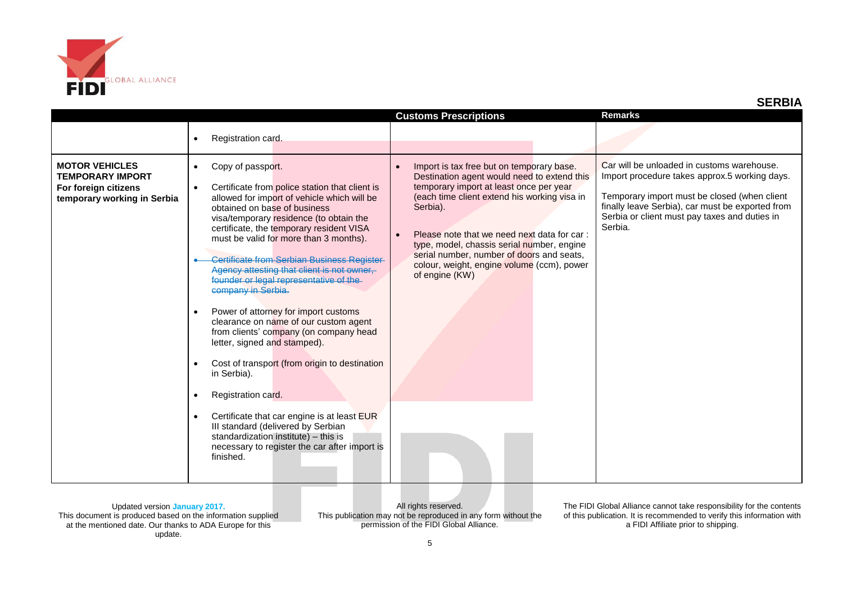

|                                                                                                         |                                                                                                                                                                                                                                                                                                                                                                                                                                                                                                                                                                                                                                                                                                                                                       | <b>Customs Prescriptions</b>                                                                                                                                                                                                                                                                                                                                                                                           | <b>Remarks</b>                                                                                                                                                                                                                                              |
|---------------------------------------------------------------------------------------------------------|-------------------------------------------------------------------------------------------------------------------------------------------------------------------------------------------------------------------------------------------------------------------------------------------------------------------------------------------------------------------------------------------------------------------------------------------------------------------------------------------------------------------------------------------------------------------------------------------------------------------------------------------------------------------------------------------------------------------------------------------------------|------------------------------------------------------------------------------------------------------------------------------------------------------------------------------------------------------------------------------------------------------------------------------------------------------------------------------------------------------------------------------------------------------------------------|-------------------------------------------------------------------------------------------------------------------------------------------------------------------------------------------------------------------------------------------------------------|
|                                                                                                         | Registration card.<br>$\bullet$                                                                                                                                                                                                                                                                                                                                                                                                                                                                                                                                                                                                                                                                                                                       |                                                                                                                                                                                                                                                                                                                                                                                                                        |                                                                                                                                                                                                                                                             |
| <b>MOTOR VEHICLES</b><br><b>TEMPORARY IMPORT</b><br>For foreign citizens<br>temporary working in Serbia | Copy of passport.<br>$\bullet$<br>Certificate from police station that client is<br>$\bullet$<br>allowed for import of vehicle which will be<br>obtained on base of business<br>visa/temporary residence (to obtain the<br>certificate, the temporary resident VISA<br>must be valid for more than 3 months).<br>Certificate from Serbian Business Register-<br>Agency attesting that client is not owner,<br>founder or legal representative of the<br>company in Serbia.<br>Power of attorney for import customs<br>$\bullet$<br>clearance on name of our custom agent<br>from clients' company (on company head<br>letter, signed and stamped).<br>Cost of transport (from origin to destination<br>$\bullet$<br>in Serbia).<br>Registration card. | Import is tax free but on temporary base.<br>$\bullet$<br>Destination agent would need to extend this<br>temporary import at least once per year<br>(each time client extend his working visa in<br>Serbia).<br>Please note that we need next data for car:<br>type, model, chassis serial number, engine<br>serial number, number of doors and seats,<br>colour, weight, engine volume (ccm), power<br>of engine (KW) | Car will be unloaded in customs warehouse.<br>Import procedure takes approx.5 working days.<br>Temporary import must be closed (when client<br>finally leave Serbia), car must be exported from<br>Serbia or client must pay taxes and duties in<br>Serbia. |
|                                                                                                         | Certificate that car engine is at least EUR<br>$\bullet$<br>III standard (delivered by Serbian<br>standardization institute) - this is<br>necessary to register the car after import is<br>finished.                                                                                                                                                                                                                                                                                                                                                                                                                                                                                                                                                  |                                                                                                                                                                                                                                                                                                                                                                                                                        |                                                                                                                                                                                                                                                             |

All rights reserved. This publication may not be reproduced in any form without the permission of the FIDI Global Alliance.

The FIDI Global Alliance cannot take responsibility for the contents of this publication. It is recommended to verify this information with a FIDI Affiliate prior to shipping.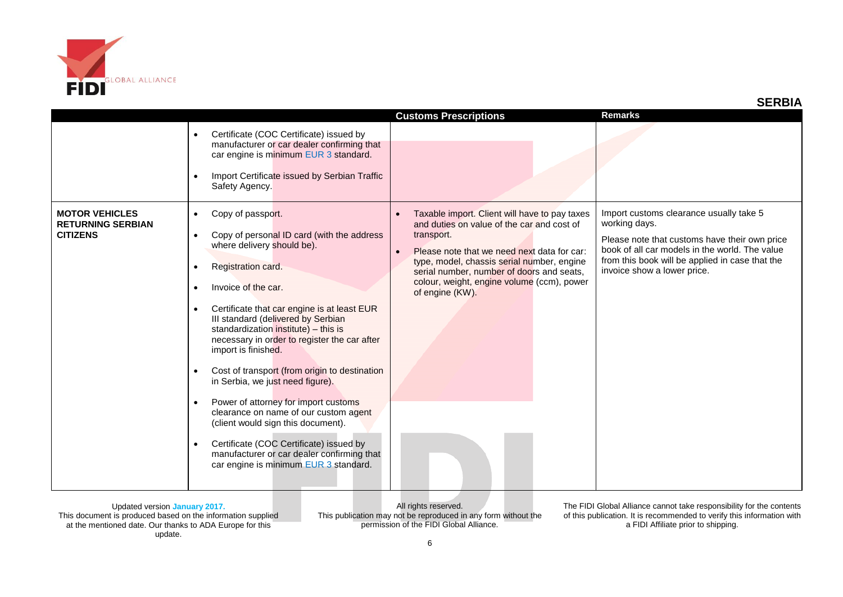

|                                                                      |                                                                                                                                                                                                                                                                                                                                                                                                                                                                                                                                                                                                                                                                                                                                                                                                      | <b>Customs Prescriptions</b>                                                                                                                                                                                                                                                                                         | <b>Remarks</b>                                                                                                                                                                                                                                |
|----------------------------------------------------------------------|------------------------------------------------------------------------------------------------------------------------------------------------------------------------------------------------------------------------------------------------------------------------------------------------------------------------------------------------------------------------------------------------------------------------------------------------------------------------------------------------------------------------------------------------------------------------------------------------------------------------------------------------------------------------------------------------------------------------------------------------------------------------------------------------------|----------------------------------------------------------------------------------------------------------------------------------------------------------------------------------------------------------------------------------------------------------------------------------------------------------------------|-----------------------------------------------------------------------------------------------------------------------------------------------------------------------------------------------------------------------------------------------|
|                                                                      | Certificate (COC Certificate) issued by<br>$\bullet$<br>manufacturer or car dealer confirming that<br>car engine is minimum EUR 3 standard.<br>Import Certificate issued by Serbian Traffic<br>$\bullet$<br>Safety Agency.                                                                                                                                                                                                                                                                                                                                                                                                                                                                                                                                                                           |                                                                                                                                                                                                                                                                                                                      |                                                                                                                                                                                                                                               |
| <b>MOTOR VEHICLES</b><br><b>RETURNING SERBIAN</b><br><b>CITIZENS</b> | Copy of passport.<br>$\bullet$<br>Copy of personal ID card (with the address<br>$\bullet$<br>where delivery should be).<br>Registration card.<br>$\bullet$<br>Invoice of the car.<br>$\bullet$<br>Certificate that car engine is at least EUR<br>$\bullet$<br>III standard (delivered by Serbian<br>standardization institute) - this is<br>necessary in order to register the car after<br>import is finished.<br>Cost of transport (from origin to destination<br>$\bullet$<br>in Serbia, we just need figure).<br>Power of attorney for import customs<br>$\bullet$<br>clearance on name of our custom agent<br>(client would sign this document).<br>Certificate (COC Certificate) issued by<br>$\bullet$<br>manufacturer or car dealer confirming that<br>car engine is minimum EUR 3 standard. | Taxable import. Client will have to pay taxes<br>and duties on value of the car and cost of<br>transport.<br>Please note that we need next data for car:<br>type, model, chassis serial number, engine<br>serial number, number of doors and seats,<br>colour, weight, engine volume (ccm), power<br>of engine (KW). | Import customs clearance usually take 5<br>working days.<br>Please note that customs have their own price<br>book of all car models in the world. The value<br>from this book will be applied in case that the<br>invoice show a lower price. |

All rights reserved. This publication may not be reproduced in any form without the permission of the FIDI Global Alliance.

The FIDI Global Alliance cannot take responsibility for the contents of this publication. It is recommended to verify this information with a FIDI Affiliate prior to shipping.